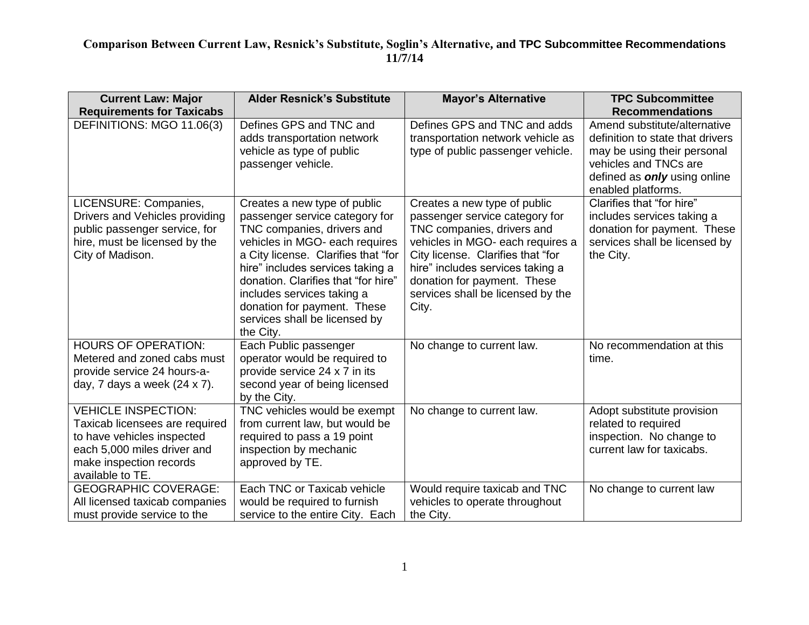| <b>Current Law: Major</b><br><b>Requirements for Taxicabs</b>                                                                                                            | <b>Alder Resnick's Substitute</b>                                                                                                                                                                                                                                                                                                                           | <b>Mayor's Alternative</b>                                                                                                                                                                                                                                                             | <b>TPC Subcommittee</b><br><b>Recommendations</b>                                                                                                                              |
|--------------------------------------------------------------------------------------------------------------------------------------------------------------------------|-------------------------------------------------------------------------------------------------------------------------------------------------------------------------------------------------------------------------------------------------------------------------------------------------------------------------------------------------------------|----------------------------------------------------------------------------------------------------------------------------------------------------------------------------------------------------------------------------------------------------------------------------------------|--------------------------------------------------------------------------------------------------------------------------------------------------------------------------------|
| DEFINITIONS: MGO 11.06(3)                                                                                                                                                | Defines GPS and TNC and<br>adds transportation network<br>vehicle as type of public<br>passenger vehicle.                                                                                                                                                                                                                                                   | Defines GPS and TNC and adds<br>transportation network vehicle as<br>type of public passenger vehicle.                                                                                                                                                                                 | Amend substitute/alternative<br>definition to state that drivers<br>may be using their personal<br>vehicles and TNCs are<br>defined as only using online<br>enabled platforms. |
| LICENSURE: Companies,<br>Drivers and Vehicles providing<br>public passenger service, for<br>hire, must be licensed by the<br>City of Madison.                            | Creates a new type of public<br>passenger service category for<br>TNC companies, drivers and<br>vehicles in MGO- each requires<br>a City license. Clarifies that "for<br>hire" includes services taking a<br>donation. Clarifies that "for hire"<br>includes services taking a<br>donation for payment. These<br>services shall be licensed by<br>the City. | Creates a new type of public<br>passenger service category for<br>TNC companies, drivers and<br>vehicles in MGO- each requires a<br>City license. Clarifies that "for<br>hire" includes services taking a<br>donation for payment. These<br>services shall be licensed by the<br>City. | Clarifies that "for hire"<br>includes services taking a<br>donation for payment. These<br>services shall be licensed by<br>the City.                                           |
| <b>HOURS OF OPERATION:</b><br>Metered and zoned cabs must<br>provide service 24 hours-a-<br>day, 7 days a week $(24 \times 7)$ .                                         | Each Public passenger<br>operator would be required to<br>provide service 24 x 7 in its<br>second year of being licensed<br>by the City.                                                                                                                                                                                                                    | No change to current law.                                                                                                                                                                                                                                                              | No recommendation at this<br>time.                                                                                                                                             |
| <b>VEHICLE INSPECTION:</b><br>Taxicab licensees are required<br>to have vehicles inspected<br>each 5,000 miles driver and<br>make inspection records<br>available to TE. | TNC vehicles would be exempt<br>from current law, but would be<br>required to pass a 19 point<br>inspection by mechanic<br>approved by TE.                                                                                                                                                                                                                  | No change to current law.                                                                                                                                                                                                                                                              | Adopt substitute provision<br>related to required<br>inspection. No change to<br>current law for taxicabs.                                                                     |
| <b>GEOGRAPHIC COVERAGE:</b><br>All licensed taxicab companies<br>must provide service to the                                                                             | Each TNC or Taxicab vehicle<br>would be required to furnish<br>service to the entire City. Each                                                                                                                                                                                                                                                             | Would require taxicab and TNC<br>vehicles to operate throughout<br>the City.                                                                                                                                                                                                           | No change to current law                                                                                                                                                       |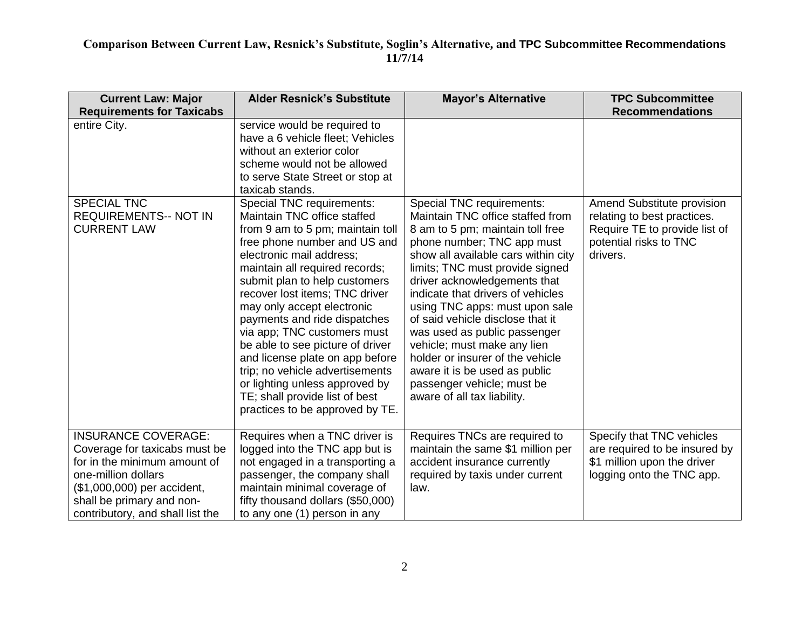| <b>Current Law: Major</b><br><b>Requirements for Taxicabs</b>                                                                                                                                                      | <b>Alder Resnick's Substitute</b>                                                                                                                                                                                                                                                                                                                                                                                                                                                                                                                                           | <b>Mayor's Alternative</b>                                                                                                                                                                                                                                                                                                                                                                                                                                                                                                                            | <b>TPC Subcommittee</b><br><b>Recommendations</b>                                                                                |
|--------------------------------------------------------------------------------------------------------------------------------------------------------------------------------------------------------------------|-----------------------------------------------------------------------------------------------------------------------------------------------------------------------------------------------------------------------------------------------------------------------------------------------------------------------------------------------------------------------------------------------------------------------------------------------------------------------------------------------------------------------------------------------------------------------------|-------------------------------------------------------------------------------------------------------------------------------------------------------------------------------------------------------------------------------------------------------------------------------------------------------------------------------------------------------------------------------------------------------------------------------------------------------------------------------------------------------------------------------------------------------|----------------------------------------------------------------------------------------------------------------------------------|
| entire City.                                                                                                                                                                                                       | service would be required to<br>have a 6 vehicle fleet; Vehicles<br>without an exterior color<br>scheme would not be allowed<br>to serve State Street or stop at<br>taxicab stands.                                                                                                                                                                                                                                                                                                                                                                                         |                                                                                                                                                                                                                                                                                                                                                                                                                                                                                                                                                       |                                                                                                                                  |
| <b>SPECIAL TNC</b><br><b>REQUIREMENTS-- NOT IN</b><br><b>CURRENT LAW</b>                                                                                                                                           | Special TNC requirements:<br>Maintain TNC office staffed<br>from 9 am to 5 pm; maintain toll<br>free phone number and US and<br>electronic mail address;<br>maintain all required records;<br>submit plan to help customers<br>recover lost items; TNC driver<br>may only accept electronic<br>payments and ride dispatches<br>via app; TNC customers must<br>be able to see picture of driver<br>and license plate on app before<br>trip; no vehicle advertisements<br>or lighting unless approved by<br>TE; shall provide list of best<br>practices to be approved by TE. | Special TNC requirements:<br>Maintain TNC office staffed from<br>8 am to 5 pm; maintain toll free<br>phone number; TNC app must<br>show all available cars within city<br>limits; TNC must provide signed<br>driver acknowledgements that<br>indicate that drivers of vehicles<br>using TNC apps: must upon sale<br>of said vehicle disclose that it<br>was used as public passenger<br>vehicle; must make any lien<br>holder or insurer of the vehicle<br>aware it is be used as public<br>passenger vehicle; must be<br>aware of all tax liability. | Amend Substitute provision<br>relating to best practices.<br>Require TE to provide list of<br>potential risks to TNC<br>drivers. |
| <b>INSURANCE COVERAGE:</b><br>Coverage for taxicabs must be<br>for in the minimum amount of<br>one-million dollars<br>(\$1,000,000) per accident,<br>shall be primary and non-<br>contributory, and shall list the | Requires when a TNC driver is<br>logged into the TNC app but is<br>not engaged in a transporting a<br>passenger, the company shall<br>maintain minimal coverage of<br>fifty thousand dollars (\$50,000)<br>to any one (1) person in any                                                                                                                                                                                                                                                                                                                                     | Requires TNCs are required to<br>maintain the same \$1 million per<br>accident insurance currently<br>required by taxis under current<br>law.                                                                                                                                                                                                                                                                                                                                                                                                         | Specify that TNC vehicles<br>are required to be insured by<br>\$1 million upon the driver<br>logging onto the TNC app.           |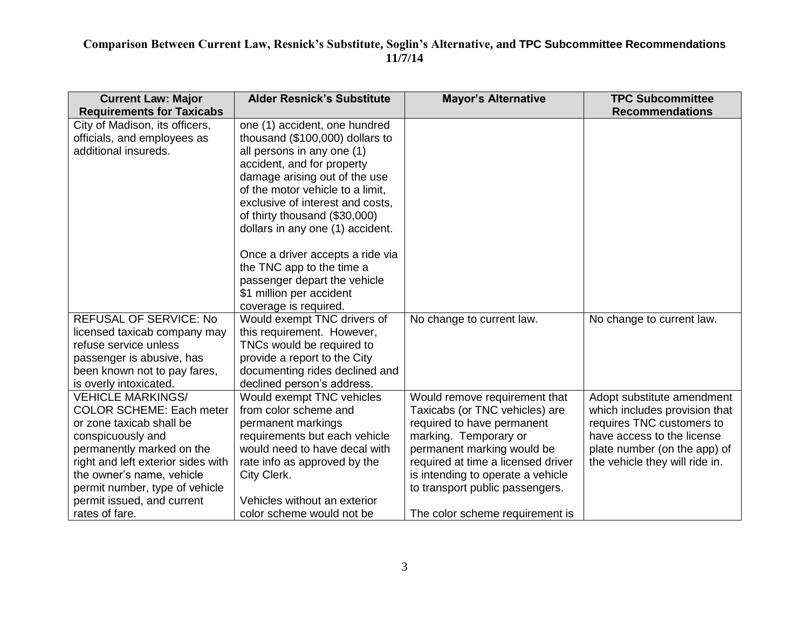| <b>Current Law: Major</b><br><b>Requirements for Taxicabs</b> | <b>Alder Resnick's Substitute</b> | <b>Mayor's Alternative</b>         | <b>TPC Subcommittee</b><br><b>Recommendations</b> |
|---------------------------------------------------------------|-----------------------------------|------------------------------------|---------------------------------------------------|
| City of Madison, its officers,                                | one (1) accident, one hundred     |                                    |                                                   |
| officials, and employees as                                   | thousand (\$100,000) dollars to   |                                    |                                                   |
| additional insureds.                                          | all persons in any one (1)        |                                    |                                                   |
|                                                               | accident, and for property        |                                    |                                                   |
|                                                               | damage arising out of the use     |                                    |                                                   |
|                                                               | of the motor vehicle to a limit,  |                                    |                                                   |
|                                                               | exclusive of interest and costs,  |                                    |                                                   |
|                                                               | of thirty thousand (\$30,000)     |                                    |                                                   |
|                                                               | dollars in any one (1) accident.  |                                    |                                                   |
|                                                               | Once a driver accepts a ride via  |                                    |                                                   |
|                                                               | the TNC app to the time a         |                                    |                                                   |
|                                                               | passenger depart the vehicle      |                                    |                                                   |
|                                                               | \$1 million per accident          |                                    |                                                   |
|                                                               | coverage is required.             |                                    |                                                   |
| <b>REFUSAL OF SERVICE: No</b>                                 | Would exempt TNC drivers of       | No change to current law.          | No change to current law.                         |
| licensed taxicab company may                                  | this requirement. However,        |                                    |                                                   |
| refuse service unless                                         | TNCs would be required to         |                                    |                                                   |
| passenger is abusive, has                                     | provide a report to the City      |                                    |                                                   |
| been known not to pay fares,                                  | documenting rides declined and    |                                    |                                                   |
| is overly intoxicated.                                        | declined person's address.        |                                    |                                                   |
| <b>VEHICLE MARKINGS/</b>                                      | Would exempt TNC vehicles         | Would remove requirement that      | Adopt substitute amendment                        |
| <b>COLOR SCHEME: Each meter</b>                               | from color scheme and             | Taxicabs (or TNC vehicles) are     | which includes provision that                     |
| or zone taxicab shall be                                      | permanent markings                | required to have permanent         | requires TNC customers to                         |
| conspicuously and                                             | requirements but each vehicle     | marking. Temporary or              | have access to the license                        |
| permanently marked on the                                     | would need to have decal with     | permanent marking would be         | plate number (on the app) of                      |
| right and left exterior sides with                            | rate info as approved by the      | required at time a licensed driver | the vehicle they will ride in.                    |
| the owner's name, vehicle                                     | City Clerk.                       | is intending to operate a vehicle  |                                                   |
| permit number, type of vehicle                                |                                   | to transport public passengers.    |                                                   |
| permit issued, and current                                    | Vehicles without an exterior      |                                    |                                                   |
| rates of fare.                                                | color scheme would not be         | The color scheme requirement is    |                                                   |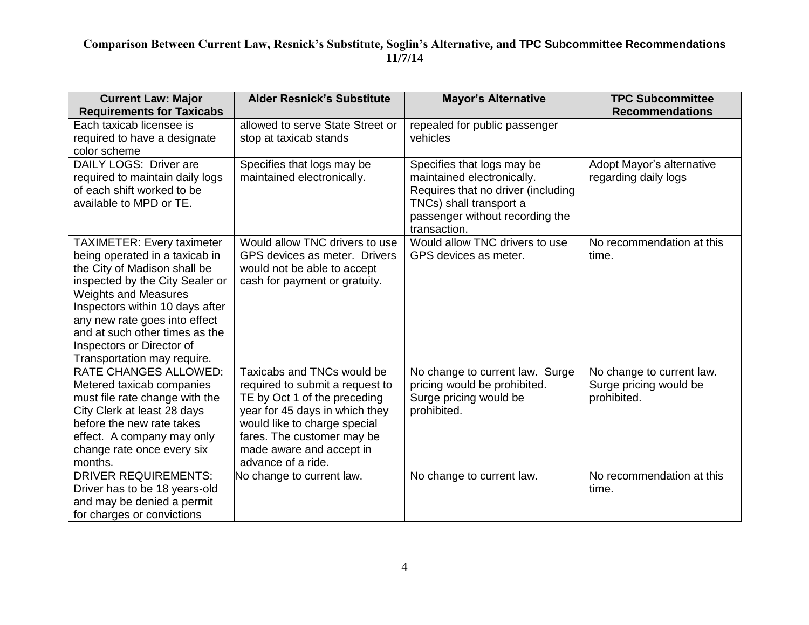| <b>Current Law: Major</b><br><b>Requirements for Taxicabs</b>                                                                                                                                                                                                                                                                           | <b>Alder Resnick's Substitute</b>                                                                                                                                                                                                               | <b>Mayor's Alternative</b>                                                                                                                                                   | <b>TPC Subcommittee</b><br><b>Recommendations</b>                  |
|-----------------------------------------------------------------------------------------------------------------------------------------------------------------------------------------------------------------------------------------------------------------------------------------------------------------------------------------|-------------------------------------------------------------------------------------------------------------------------------------------------------------------------------------------------------------------------------------------------|------------------------------------------------------------------------------------------------------------------------------------------------------------------------------|--------------------------------------------------------------------|
| Each taxicab licensee is<br>required to have a designate<br>color scheme                                                                                                                                                                                                                                                                | allowed to serve State Street or<br>stop at taxicab stands                                                                                                                                                                                      | repealed for public passenger<br>vehicles                                                                                                                                    |                                                                    |
| DAILY LOGS: Driver are<br>required to maintain daily logs<br>of each shift worked to be<br>available to MPD or TE.                                                                                                                                                                                                                      | Specifies that logs may be<br>maintained electronically.                                                                                                                                                                                        | Specifies that logs may be<br>maintained electronically.<br>Requires that no driver (including<br>TNCs) shall transport a<br>passenger without recording the<br>transaction. | Adopt Mayor's alternative<br>regarding daily logs                  |
| <b>TAXIMETER: Every taximeter</b><br>being operated in a taxicab in<br>the City of Madison shall be<br>inspected by the City Sealer or<br><b>Weights and Measures</b><br>Inspectors within 10 days after<br>any new rate goes into effect<br>and at such other times as the<br>Inspectors or Director of<br>Transportation may require. | Would allow TNC drivers to use<br>GPS devices as meter. Drivers<br>would not be able to accept<br>cash for payment or gratuity.                                                                                                                 | Would allow TNC drivers to use<br>GPS devices as meter.                                                                                                                      | No recommendation at this<br>time.                                 |
| <b>RATE CHANGES ALLOWED:</b><br>Metered taxicab companies<br>must file rate change with the<br>City Clerk at least 28 days<br>before the new rate takes<br>effect. A company may only<br>change rate once every six<br>months.                                                                                                          | Taxicabs and TNCs would be<br>required to submit a request to<br>TE by Oct 1 of the preceding<br>year for 45 days in which they<br>would like to charge special<br>fares. The customer may be<br>made aware and accept in<br>advance of a ride. | No change to current law. Surge<br>pricing would be prohibited.<br>Surge pricing would be<br>prohibited.                                                                     | No change to current law.<br>Surge pricing would be<br>prohibited. |
| <b>DRIVER REQUIREMENTS:</b><br>Driver has to be 18 years-old<br>and may be denied a permit<br>for charges or convictions                                                                                                                                                                                                                | No change to current law.                                                                                                                                                                                                                       | No change to current law.                                                                                                                                                    | No recommendation at this<br>time.                                 |